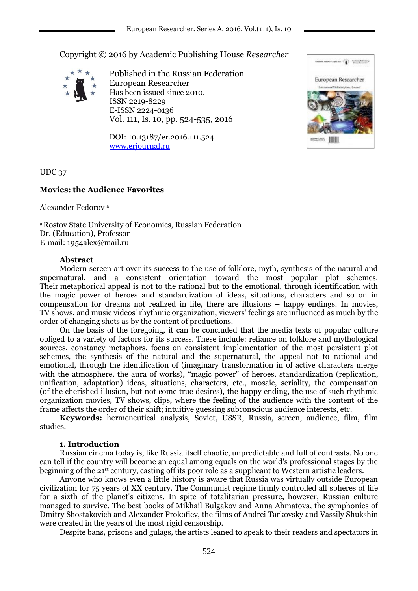Copyright © 2016 by Academic Publishing House *Researcher*



Published in the Russian Federation European Researcher Has been issued since 2010. ISSN 2219-8229 E-ISSN 2224-0136 Vol. 111, Is. 10, pp. 524-535, 2016

DOI: 10.13187/er.2016.111.524 [www.erjournal.ru](http://www.erjournal.ru/)



UDC 37

# **Movies: the Audience Favorites**

Alexander Fedorov <sup>а</sup>

<sup>а</sup>Rostov State University of Economics, Russian Federation Dr. (Education), Professor E-mail: 1954alex@mail.ru

#### **Abstract**

Modern screen art over its success to the use of folklore, myth, synthesis of the natural and supernatural, and a consistent orientation toward the most popular plot schemes. Their metaphorical appeal is not to the rational but to the emotional, through identification with the magic power of heroes and standardization of ideas, situations, characters and so on in compensation for dreams not realized in life, there are illusions – happy endings. In movies, TV shows, and music videos' rhythmic organization, viewers' feelings are influenced as much by the order of changing shots as by the content of productions.

On the basis of the foregoing, it can be concluded that the media texts of popular culture obliged to a variety of factors for its success. These include: reliance on folklore and mythological sources, constancy metaphors, focus on consistent implementation of the most persistent plot schemes, the synthesis of the natural and the supernatural, the appeal not to rational and emotional, through the identification of (imaginary transformation in of active characters merge with the atmosphere, the aura of works), "magic power" of heroes, standardization (replication, unification, adaptation) ideas, situations, characters, etc., mosaic, seriality, the compensation (of the cherished illusion, but not come true desires), the happy ending, the use of such rhythmic organization movies, TV shows, clips, where the feeling of the audience with the content of the frame affects the order of their shift; intuitive guessing subconscious audience interests, etc.

**Keywords:** hermeneutical analysis, Soviet, USSR, Russia, screen, audience, film, film studies.

# **1. Introduction**

Russian cinema today is, like Russia itself chaotic, unpredictable and full of contrasts. No one can tell if the country will become an equal among equals on the world's professional stages by the beginning of the 21st century, casting off its poor role as a supplicant to Western artistic leaders.

Anyone who knows even a little history is aware that Russia was virtually outside European civilization for 75 years of XX century. The Communist regime firmly controlled all spheres of life for a sixth of the planet's citizens. In spite of totalitarian pressure, however, Russian culture managed to survive. The best books of Mikhail Bulgakov and Anna Ahmatova, the symphonies of Dmitry Shostakovich and Alexander Prokofiev, the films of Andrei Tarkovsky and Vassily Shukshin were created in the years of the most rigid censorship.

Despite bans, prisons and gulags, the artists leaned to speak to their readers and spectators in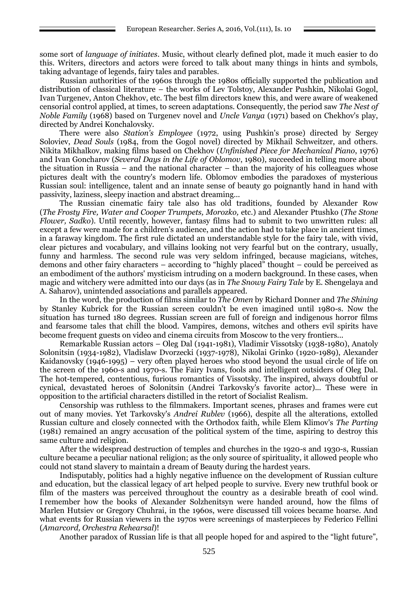some sort of *language of initiates*. Music, without clearly defined plot, made it much easier to do this. Writers, directors and actors were forced to talk about many things in hints and symbols, taking advantage of legends, fairy tales and parables.

Russian authorities of the 1960s through the 1980s officially supported the publication and distribution of classical literature – the works of Lev Tolstoy, Alexander Pushkin, Nikolai Gogol, Ivan Turgenev, Anton Chekhov, etc. The best film directors knew this, and were aware of weakened censorial control applied, at times, to screen adaptations. Consequently, the period saw *The Nest of Noble Family* (1968) based on Turgenev novel and *Uncle Vanya* (1971) based on Chekhov's play, directed by Andrei Konchalovsky.

There were also *Station's Employee* (1972, using Pushkin's prose) directed by Sergey Soloviev, *Dead Souls* (1984, from the Gogol novel) directed by Mikhail Schweitzer, and others. Nikita Mikhalkov, making films based on Chekhov (*Unfinished Piece for Mechanical Piano*, 1976) and Ivan Goncharov (*Several Days in the Life of Oblomov*, 1980), succeeded in telling more about the situation in Russia – and the national character – than the majority of his colleagues whose pictures dealt with the country's modern life. Oblomov embodies the paradoxes of mysterious Russian soul: intelligence, talent and an innate sense of beauty go poignantly hand in hand with passivity, laziness, sleepy inaction and abstract dreaming...

The Russian cinematic fairy tale also has old traditions, founded by Alexander Row (*The Frosty Fire, Water and Cooper Trumpets, Morozko,* etc.) and Alexander Ptushko (*The Stone Flower, Sadko*). Until recently, however, fantasy films had to submit to two unwritten rules: all except a few were made for a children's audience, and the action had to take place in ancient times, in a faraway kingdom. The first rule dictated an understandable style for the fairy tale, with vivid, clear pictures and vocabulary, and villains looking not very fearful but on the contrary, usually, funny and harmless. The second rule was very seldom infringed, because magicians, witches, demons and other fairy characters – according to "highly placed" thought – could be perceived as an embodiment of the authors' mysticism intruding on a modern background. In these cases, when magic and witchery were admitted into our days (as in *The Snowy Fairy Tale* by E. Shengelaya and A. Saharov), unintended associations and parallels appeared.

In the word, the production of films similar to *The Omen* by Richard Donner and *The Shining* by Stanley Kubrick for the Russian screen couldn't be even imagined until 1980-s. Now the situation has turned 180 degrees. Russian screen are full of foreign and indigenous horror films and fearsome tales that chill the blood. Vampires, demons, witches and others evil spirits have become frequent guests on video and cinema circuits from Moscow to the very frontiers...

Remarkable Russian actors – Oleg Dal (1941-1981), Vladimir Vissotsky (1938-1980), Anatoly Solonitsin (1934-1982), Vladislaw Dvorzecki (1937-1978), Nikolai Grinko (1920-1989), Alexander Kaidanovsky (1946-1995) – very often played heroes who stood beyond the usual circle of life on the screen of the 1960-s and 1970-s. The Fairy Ivans, fools and intelligent outsiders of Oleg Dal. The hot-tempered, contentious, furious romantics of Vissotsky. The inspired, always doubtful or cynical, devastated heroes of Solonitsin (Andrei Tarkovsky's favorite actor)... These were in opposition to the artificial characters distilled in the retort of Socialist Realism.

Censorship was ruthless to the filmmakers. Important scenes, phrases and frames were cut out of many movies. Yet Tarkovsky's *Andrei Rublev* (1966), despite all the alterations, extolled Russian culture and closely connected with the Orthodox faith, while Elem Klimov's *The Parting* (1981) remained an angry accusation of the political system of the time, aspiring to destroy this same culture and religion.

After the widespread destruction of temples and churches in the 1920-s and 1930-s, Russian culture became a peculiar national religion; as the only source of spirituality, it allowed people who could not stand slavery to maintain a dream of Beauty during the hardest years.

Indisputably, politics had a highly negative influence on the development of Russian culture and education, but the classical legacy of art helped people to survive. Every new truthful book or film of the masters was perceived throughout the country as a desirable breath of cool wind. I remember how the books of Alexander Solzhenitsyn were handed around, how the films of Marlen Hutsiev or Gregory Chuhrai, in the 1960s, were discussed till voices became hoarse. And what events for Russian viewers in the 1970s were screenings of masterpieces by Federico Fellini (*Amarcord, Orchestra Rehearsal*)!

Another paradox of Russian life is that all people hoped for and aspired to the "light future",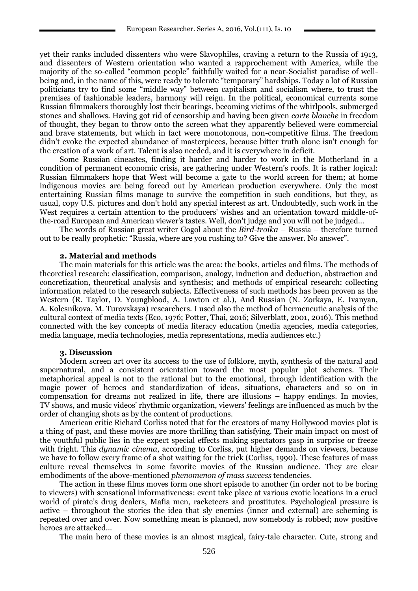yet their ranks included dissenters who were Slavophiles, craving a return to the Russia of 1913, and dissenters of Western orientation who wanted a rapprochement with America, while the majority of the so-called "common people" faithfully waited for a near-Socialist paradise of wellbeing and, in the name of this, were ready to tolerate "temporary" hardships. Today a lot of Russian politicians try to find some "middle way" between capitalism and socialism where, to trust the premises of fashionable leaders, harmony will reign. In the political, economical currents some Russian filmmakers thoroughly lost their bearings, becoming victims of the whirlpools, submerged stones and shallows. Having got rid of censorship and having been given *carte blanche* in freedom of thought, they began to throw onto the screen what they apparently believed were commercial and brave statements, but which in fact were monotonous, non-competitive films. The freedom didn't evoke the expected abundance of masterpieces, because bitter truth alone isn't enough for the creation of a work of art. Talent is also needed, and it is everywhere in deficit.

Some Russian cineastes, finding it harder and harder to work in the Motherland in a condition of permanent economic crisis, are gathering under Western's roofs. It is rather logical: Russian filmmakers hope that West will become a gate to the world screen for them; at home indigenous movies are being forced out by American production everywhere. Only the most entertaining Russian films manage to survive the competition in such conditions, but they, as usual, copy U.S. pictures and don't hold any special interest as art. Undoubtedly, such work in the West requires a certain attention to the producers' wishes and an orientation toward middle-ofthe-road European and American viewer's tastes. Well, don't judge and you will not be judged...

The words of Russian great writer Gogol about the *Bird-troika* – Russia – therefore turned out to be really prophetic: "Russia, where are you rushing to? Give the answer. No answer".

#### **2. Material and methods**

The main materials for this article was the area: the books, articles and films. The methods of theoretical research: classification, comparison, analogy, induction and deduction, abstraction and concretization, theoretical analysis and synthesis; and methods of empirical research: collecting information related to the research subjects. Effectiveness of such methods has been proven as the Western (R. Taylor, D. Youngblood, A. Lawton et al.), And Russian (N. Zorkaya, E. Ivanyan, A. Kolesnikova, M. Turovskaya) researchers. I used also the method of hermeneutic analysis of the cultural context of media texts (Eco, 1976; Potter, Thai, 2016; Silverblatt, 2001, 2016). This method connected with the key concepts of media literacy education (media agencies, media categories, media language, media technologies, media representations, media audiences etc.)

### **3. Discussion**

Modern screen art over its success to the use of folklore, myth, synthesis of the natural and supernatural, and a consistent orientation toward the most popular plot schemes. Their metaphorical appeal is not to the rational but to the emotional, through identification with the magic power of heroes and standardization of ideas, situations, characters and so on in compensation for dreams not realized in life, there are illusions – happy endings. In movies, TV shows, and music videos' rhythmic organization, viewers' feelings are influenced as much by the order of changing shots as by the content of productions.

American critic Richard Corliss noted that for the creators of many Hollywood movies plot is a thing of past, and these movies are more thrilling than satisfying. Their main impact on most of the youthful public lies in the expect special effects making spectators gasp in surprise or freeze with fright. This *dynamic cinema*, according to Corliss, put higher demands on viewers, because we have to follow every frame of a shot waiting for the trick (Corliss, 1990). These features of mass culture reveal themselves in some favorite movies of the Russian audience. They are clear embodiments of the above-mentioned *phenomenon of mass success* tendencies.

The action in these films moves form one short episode to another (in order not to be boring to viewers) with sensational informativeness: event take place at various exotic locations in a cruel world of pirate's drug dealers, Mafia men, racketeers and prostitutes. Psychological pressure is active – throughout the stories the idea that sly enemies (inner and external) are scheming is repeated over and over. Now something mean is planned, now somebody is robbed; now positive heroes are attacked...

The main hero of these movies is an almost magical, fairy-tale character. Cute, strong and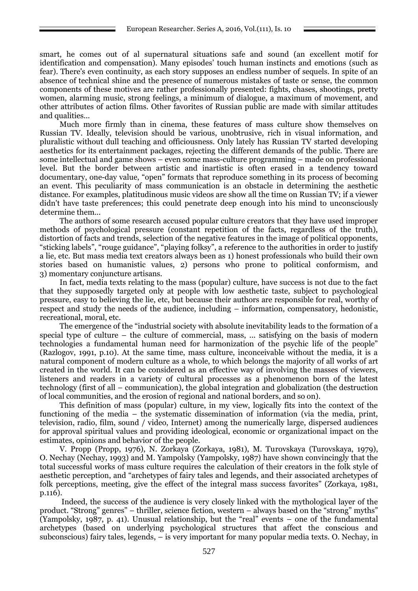smart, he comes out of al supernatural situations safe and sound (an excellent motif for identification and compensation). Many episodes' touch human instincts and emotions (such as fear). There's even continuity, as each story supposes an endless number of sequels. In spite of an absence of technical shine and the presence of numerous mistakes of taste or sense, the common components of these motives are rather professionally presented: fights, chases, shootings, pretty women, alarming music, strong feelings, a minimum of dialogue, a maximum of movement, and other attributes of action films. Other favorites of Russian public are made with similar attitudes and qualities...

Much more firmly than in cinema, these features of mass culture show themselves on Russian TV. Ideally, television should be various, unobtrusive, rich in visual information, and pluralistic without dull teaching and officiousness. Only lately has Russian TV started developing aesthetics for its entertainment packages, rejecting the different demands of the public. There are some intellectual and game shows – even some mass-culture programming – made on professional level. But the border between artistic and inartistic is often erased in a tendency toward documentary, one-day value, "open" formats that reproduce something in its process of becoming an event. This peculiarity of mass communication is an obstacle in determining the aesthetic distance. For examples, platitudinous music videos are show all the time on Russian TV; if a viewer didn't have taste preferences; this could penetrate deep enough into his mind to unconsciously determine them...

The authors of some research accused popular culture creators that they have used improper methods of psychological pressure (constant repetition of the facts, regardless of the truth), distortion of facts and trends, selection of the negative features in the image of political opponents, "sticking labels", "rouge guidance", "playing folksy", a reference to the authorities in order to justify a lie, etc. But mass media text creators always been as 1) honest professionals who build their own stories based on humanistic values, 2) persons who prone to political conformism, and 3) momentary conjuncture artisans.

In fact, media texts relating to the mass (popular) culture, have success is not due to the fact that they supposedly targeted only at people with low aesthetic taste, subject to psychological pressure, easy to believing the lie, etc, but because their authors are responsible for real, worthy of respect and study the needs of the audience, including – information, compensatory, hedonistic, recreational, moral, etc.

The emergence of the "industrial society with absolute inevitability leads to the formation of a special type of culture – the culture of commercial, mass, ... satisfying on the basis of modern technologies a fundamental human need for harmonization of the psychic life of the people" (Razlogov, 1991, p.10). At the same time, mass culture, inconceivable without the media, it is a natural component of modern culture as a whole, to which belongs the majority of all works of art created in the world. It can be considered as an effective way of involving the masses of viewers, listeners and readers in a variety of cultural processes as a phenomenon born of the latest technology (first of all – communication), the global integration and globalization (the destruction of local communities, and the erosion of regional and national borders, and so on).

This definition of mass (popular) culture, in my view, logically fits into the context of the functioning of the media – the systematic dissemination of information (via the media, print, television, radio, film, sound / video, Internet) among the numerically large, dispersed audiences for approval spiritual values and providing ideological, economic or organizational impact on the estimates, opinions and behavior of the people.

V. Propp (Propp, 1976), N. Zorkaya (Zorkaya, 1981), M. Turovskaya (Turovskaya, 1979), O. Nechay (Nechay, 1993) and M. Yampolsky (Yampolsky, 1987) have shown convincingly that the total successful works of mass culture requires the calculation of their creators in the folk style of aesthetic perception, and "archetypes of fairy tales and legends, and their associated archetypes of folk perceptions, meeting, give the effect of the integral mass success favorites" (Zorkaya, 1981, p.116).

Indeed, the success of the audience is very closely linked with the mythological layer of the product. "Strong" genres" – thriller, science fiction, western – always based on the "strong" myths" (Yampolsky,  $1987$ , p. 41). Unusual relationship, but the "real" events – one of the fundamental archetypes (based on underlying psychological structures that affect the conscious and subconscious) fairy tales, legends, – is very important for many popular media texts. O. Nechay, in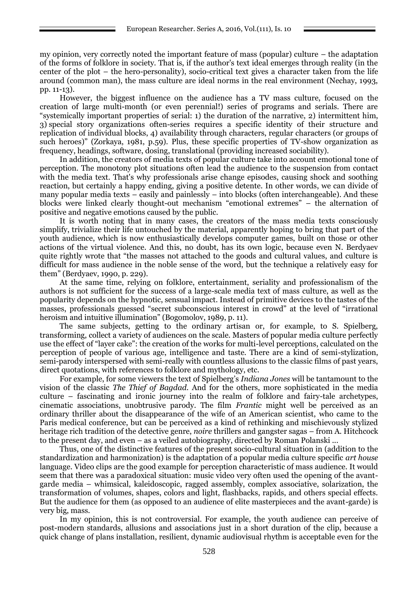my opinion, very correctly noted the important feature of mass (popular) culture – the adaptation of the forms of folklore in society. That is, if the author's text ideal emerges through reality (in the center of the plot – the hero-personality), socio-critical text gives a character taken from the life around (common man), the mass culture are ideal norms in the real environment (Nechay, 1993, pp. 11-13).

However, the biggest influence on the audience has a TV mass culture, focused on the creation of large multi-month (or even perennial!) series of programs and serials. There are "systemically important properties of serial: 1) the duration of the narrative, 2) intermittent him, 3) special story organizations often-series requires a specific identity of their structure and replication of individual blocks, 4) availability through characters, regular characters (or groups of such heroes)" (Zorkaya, 1981, p.59). Plus, these specific properties of TV-show organization as frequency, headings, software, dosing, translational (providing increased sociability).

In addition, the creators of media texts of popular culture take into account emotional tone of perception. The monotony plot situations often lead the audience to the suspension from contact with the media text. That's why professionals arise change episodes, causing shock and soothing reaction, but certainly a happy ending, giving a positive detente. In other words, we can divide of many popular media texts – easily and painlessly – into blocks (often interchangeable). And these blocks were linked clearly thought-out mechanism "emotional extremes" – the alternation of positive and negative emotions caused by the public.

It is worth noting that in many cases, the creators of the mass media texts consciously simplify, trivialize their life untouched by the material, apparently hoping to bring that part of the youth audience, which is now enthusiastically develops computer games, built on those or other actions of the virtual violence. And this, no doubt, has its own logic, because even N. Berdyaev quite rightly wrote that "the masses not attached to the goods and cultural values, and culture is difficult for mass audience in the noble sense of the word, but the technique a relatively easy for them" (Berdyaev, 1990, p. 229).

At the same time, relying on folklore, entertainment, seriality and professionalism of the authors is not sufficient for the success of a large-scale media text of mass culture, as well as the popularity depends on the hypnotic, sensual impact. Instead of primitive devices to the tastes of the masses, professionals guessed "secret subconscious interest in crowd" at the level of "irrational heroism and intuitive illumination" (Bogomolov, 1989, p. 11).

The same subjects, getting to the ordinary artisan or, for example, to S. Spielberg, transforming, collect a variety of audiences on the scale. Masters of popular media culture perfectly use the effect of "layer cake": the creation of the works for multi-level perceptions, calculated on the perception of people of various age, intelligence and taste. There are a kind of semi-stylization, semi-parody interspersed with semi-really with countless allusions to the classic films of past years, direct quotations, with references to folklore and mythology, etc.

For example, for some viewers the text of Spielberg's *Indiana Jones* will be tantamount to the vision of the classic *The Thief of Bagdad.* And for the others, more sophisticated in the media culture – fascinating and ironic journey into the realm of folklore and fairy-tale archetypes, cinematic associations, unobtrusive parody. The film *Frantic* might well be perceived as an ordinary thriller about the disappearance of the wife of an American scientist, who came to the Paris medical conference, but can be perceived as a kind of rethinking and mischievously stylized heritage rich tradition of the detective genre, *noire* thrillers and gangster sagas – from A. Hitchcock to the present day, and even – as a veiled autobiography, directed by Roman Polanski ...

Thus, one of the distinctive features of the present socio-cultural situation in (addition to the standardization and harmonization) is the adaptation of a popular media culture specific *art house* language. Video clips are the good example for perception characteristic of mass audience. It would seem that there was a paradoxical situation: music video very often used the opening of the avantgarde media – whimsical, kaleidoscopic, ragged assembly, complex associative, solarization, the transformation of volumes, shapes, colors and light, flashbacks, rapids, and others special effects. But the audience for them (as opposed to an audience of elite masterpieces and the avant-garde) is very big, mass.

In my opinion, this is not controversial. For example, the youth audience can perceive of post-modern standards, allusions and associations just in a short duration of the clip, because a quick change of plans installation, resilient, dynamic audiovisual rhythm is acceptable even for the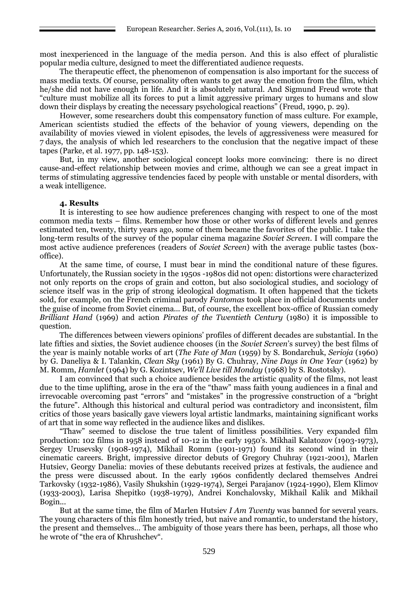most inexperienced in the language of the media person. And this is also effect of pluralistic popular media culture, designed to meet the differentiated audience requests.

The therapeutic effect, the phenomenon of compensation is also important for the success of mass media texts. Of course, personality often wants to get away the emotion from the film, which he/she did not have enough in life. And it is absolutely natural. And Sigmund Freud wrote that "culture must mobilize all its forces to put a limit aggressive primary urges to humans and slow down their displays by creating the necessary psychological reactions" (Freud, 1990, p. 29).

However, some researchers doubt this compensatory function of mass culture. For example, American scientists studied the effects of the behavior of young viewers, depending on the availability of movies viewed in violent episodes, the levels of aggressiveness were measured for 7 days, the analysis of which led researchers to the conclusion that the negative impact of these tapes (Parke, et al. 1977, pp. 148-153).

But, in my view, another sociological concept looks more convincing: there is no direct cause-and-effect relationship between movies and crime, although we can see a great impact in terms of stimulating aggressive tendencies faced by people with unstable or mental disorders, with a weak intelligence.

#### **4. Results**

It is interesting to see how audience preferences changing with respect to one of the most common media texts – films. Remember how those or other works of different levels and genres estimated ten, twenty, thirty years ago, some of them became the favorites of the public. I take the long-term results of the survey of the popular cinema magazine *Soviet Screen*. I will compare the most active audience preferences (readers of *Soviet Screen*) with the average public tastes (boxoffice).

At the same time, of course, I must bear in mind the conditional nature of these figures. Unfortunately, the Russian society in the 1950s -1980s did not open: distortions were characterized not only reports on the crops of grain and cotton, but also sociological studies, and sociology of science itself was in the grip of strong ideological dogmatism. It often happened that the tickets sold, for example, on the French criminal parody *Fantomas* took place in official documents under the guise of income from Soviet cinema... But, of course, the excellent box-office of Russian comedy *Brilliant Hand* (1969) and action *Pirates of the Twentieth Century* (1980) it is impossible to question.

The differences between viewers opinions' profiles of different decades are substantial. In the late fifties and sixties, the Soviet audience chooses (in the *Soviet Screen*'s survey) the best films of the year is mainly notable works of art (*The Fate of Man* (1959) by S. Bondarchuk, *Serioja* (1960) by G. Daneliya & I. Talankin, *Clean Sky* (1961) By G. Chuhray, *Nine Days in One Year* (1962) by M. Romm, *Hamlet* (1964) by G. Kozintsev, *We'll Live till Monday* (1968) by S. Rostotsky).

I am convinced that such a choice audience besides the artistic quality of the films, not least due to the time uplifting, arose in the era of the "thaw" mass faith young audiences in a final and irrevocable overcoming past "errors" and "mistakes" in the progressive construction of a "bright the future". Although this historical and cultural period was contradictory and inconsistent, film critics of those years basically gave viewers loyal artistic landmarks, maintaining significant works of art that in some way reflected in the audience likes and dislikes.

"Thaw" seemed to disclose the true talent of limitless possibilities. Very expanded film production: 102 films in 1958 instead of 10-12 in the early 1950's. Mikhail Kalatozov (1903-1973), Sergey Urusevsky (1908-1974), Mikhail Romm (1901-1971) found its second wind in their cinematic careers. Bright, impressive director debuts of Gregory Chuhray (1921-2001), Marlen Hutsiev, Georgy Danelia: movies of these debutants received prizes at festivals, the audience and the press were discussed about. In the early 1960s confidently declared themselves Andrei Tarkovsky (1932-1986), Vasily Shukshin (1929-1974), Sergei Parajanov (1924-1990), Elem Klimov (1933-2003), Larisa Shepitko (1938-1979), Andrei Konchalovsky, Mikhail Kalik and Mikhail Bogin...

But at the same time, the film of Marlen Hutsiev *I Am Twenty* was banned for several years. The young characters of this film honestly tried, but naive and romantic, to understand the history, the present and themselves… The ambiguity of those years there has been, perhaps, all those who he wrote of "the era of Khrushchev".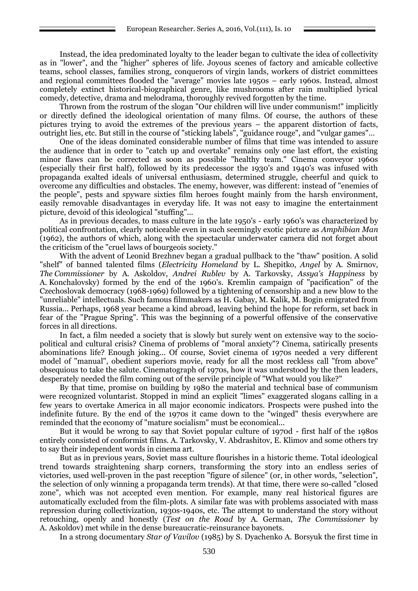Instead, the idea predominated loyalty to the leader began to cultivate the idea of collectivity as in "lower", and the "higher" spheres of life. Joyous scenes of factory and amicable collective teams, school classes, families strong, conquerors of virgin lands, workers of district committees and regional committees flooded the "average" movies late 1950s – early 1960s. Instead, almost completely extinct historical-biographical genre, like mushrooms after rain multiplied lyrical comedy, detective, drama and melodrama, thoroughly revived forgotten by the time.

Thrown from the rostrum of the slogan "Our children will live under communism!" implicitly or directly defined the ideological orientation of many films. Of course, the authors of these pictures trying to avoid the extremes of the previous years – the apparent distortion of facts, outright lies, etc. But still in the course of "sticking labels", "guidance rouge", and "vulgar games"…

One of the ideas dominated considerable number of films that time was intended to assure the audience that in order to "catch up and overtake" remains only one last effort, the existing minor flaws can be corrected as soon as possible "healthy team." Cinema conveyor 1960s (especially their first half), followed by its predecessor the 1930's and 1940's was infused with propaganda exalted ideals of universal enthusiasm, determined struggle, cheerful and quick to overcome any difficulties and obstacles. The enemy, however, was different: instead of "enemies of the people", pests and spyware sixties film heroes fought mainly from the harsh environment, easily removable disadvantages in everyday life. It was not easy to imagine the entertainment picture, devoid of this ideological "stuffing"...

As in previous decades, to mass culture in the late 1950's - early 1960's was characterized by political confrontation, clearly noticeable even in such seemingly exotic picture as *Amphibian Man* (1962), the authors of which, along with the spectacular underwater camera did not forget about the criticism of the "cruel laws of bourgeois society."

With the advent of Leonid Brezhnev began a gradual pullback to the "thaw" position. A solid "shelf" of banned talented films (*Electricity Homeland* by L. Shepitko, *Angel* by A. Smirnov, *The Commissioner* by A. Askoldov, *Andrei Rublev* by A. Tarkovsky, *Assya's Happiness* by A. Konchalovsky) formed by the end of the 1960's. Kremlin campaign of "pacification" of the Czechoslovak democracy (1968-1969) followed by a tightening of censorship and a new blow to the "unreliable" intellectuals. Such famous filmmakers as H. Gabay, M. Kalik, M. Bogin emigrated from Russia... Perhaps, 1968 year became a kind abroad, leaving behind the hope for reform, set back in fear of the "Prague Spring". This was the beginning of a powerful offensive of the conservative forces in all directions.

In fact, a film needed a society that is slowly but surely went on extensive way to the sociopolitical and cultural crisis? Cinema of problems of "moral anxiety"? Cinema, satirically presents abominations life? Enough joking... Of course, Soviet cinema of 1970s needed a very different model of "manual", obedient superiors movie, ready for all the most reckless call "from above" obsequious to take the salute. Cinematograph of 1970s, how it was understood by the then leaders, desperately needed the film coming out of the servile principle of "What would you like?"

By that time, promise on building by 1980 the material and technical base of communism were recognized voluntarist. Stopped in mind an explicit "limes" exaggerated slogans calling in a few years to overtake America in all major economic indicators. Prospects were pushed into the indefinite future. By the end of the 1970s it came down to the "winged" thesis everywhere are reminded that the economy of "mature socialism" must be economical...

But it would be wrong to say that Soviet popular culture of 1970d - first half of the 1980s entirely consisted of conformist films. A. Tarkovsky, V. Abdrashitov, E. Klimov and some others try to say their independent words in cinema art.

But as in previous years, Soviet mass culture flourishes in a historic theme. Total ideological trend towards straightening sharp corners, transforming the story into an endless series of victories, used well-proven in the past reception "figure of silence" (or, in other words, "selection", the selection of only winning a propaganda term trends). At that time, there were so-called "closed zone", which was not accepted even mention. For example, many real historical figures are automatically excluded from the film-plots. A similar fate was with problems associated with mass repression during collectivization, 1930s-1940s, etc. The attempt to understand the story without retouching, openly and honestly (*Test on the Road* by A. German, *The Commissioner* by A. Askoldov) met while in the dense bureaucratic-reinsurance bayonets.

In a strong documentary *Star of Vavilov* (1985) by S. Dyachenko A. Borsyuk the first time in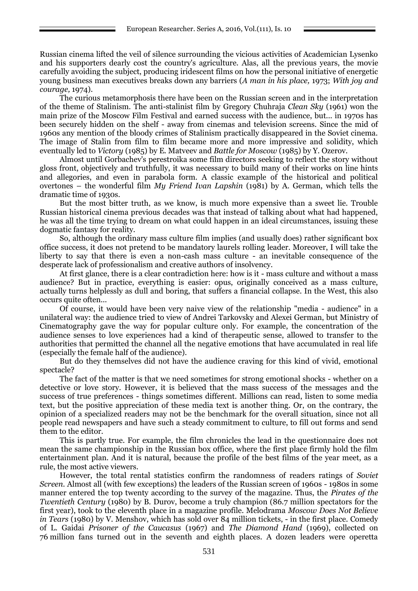Russian cinema lifted the veil of silence surrounding the vicious activities of Academician Lysenko and his supporters dearly cost the country's agriculture. Alas, all the previous years, the movie carefully avoiding the subject, producing iridescent films on how the personal initiative of energetic young business man executives breaks down any barriers (*A man in his place,* 1973; *With joy and courage,* 1974).

The curious metamorphosis there have been on the Russian screen and in the interpretation of the theme of Stalinism. The anti-stalinist film by Gregory Chuhraja *Clean Sky* (1961) won the main prize of the Moscow Film Festival and earned success with the audience, but... in 1970s has been securely hidden on the shelf - away from cinemas and television screens. Since the mid of 1960s any mention of the bloody crimes of Stalinism practically disappeared in the Soviet cinema. The image of Stalin from film to film became more and more impressive and solidity, which eventually led to *Victory* (1985) by E. Matveev and *Battle for Moscow* (1985) by Y. Ozerov.

Almost until Gorbachev's perestroika some film directors seeking to reflect the story without gloss front, objectively and truthfully, it was necessary to build many of their works on line hints and allegories, and even in parabola form. A classic example of the historical and political overtones – the wonderful film *My Friend Ivan Lapshin* (1981) by A. German, which tells the dramatic time of 1930s.

But the most bitter truth, as we know, is much more expensive than a sweet lie. Trouble Russian historical cinema previous decades was that instead of talking about what had happened, he was all the time trying to dream on what could happen in an ideal circumstances, issuing these dogmatic fantasy for reality.

So, although the ordinary mass culture film implies (and usually does) rather significant box office success, it does not pretend to be mandatory laurels rolling leader. Moreover, I will take the liberty to say that there is even a non-cash mass culture - an inevitable consequence of the desperate lack of professionalism and creative authors of insolvency.

At first glance, there is a clear contradiction here: how is it - mass culture and without a mass audience? But in practice, everything is easier: opus, originally conceived as a mass culture, actually turns helplessly as dull and boring, that suffers a financial collapse. In the West, this also occurs quite often...

Of course, it would have been very naive view of the relationship "media - audience" in a unilateral way: the audience tried to view of Andrei Tarkovsky and Alexei German, but Ministry of Cinematography gave the way for popular culture only. For example, the concentration of the audience senses to love experiences had a kind of therapeutic sense, allowed to transfer to the authorities that permitted the channel all the negative emotions that have accumulated in real life (especially the female half of the audience).

But do they themselves did not have the audience craving for this kind of vivid, emotional spectacle?

The fact of the matter is that we need sometimes for strong emotional shocks - whether on a detective or love story. However, it is believed that the mass success of the messages and the success of true preferences - things sometimes different. Millions can read, listen to some media text, but the positive appreciation of these media text is another thing. Or, on the contrary, the opinion of a specialized readers may not be the benchmark for the overall situation, since not all people read newspapers and have such a steady commitment to culture, to fill out forms and send them to the editor.

This is partly true. For example, the film chronicles the lead in the questionnaire does not mean the same championship in the Russian box office, where the first place firmly hold the film entertainment plan. And it is natural, because the profile of the best films of the year meet, as a rule, the most active viewers.

However, the total rental statistics confirm the randomness of readers ratings of *Soviet Screen.* Almost all (with few exceptions) the leaders of the Russian screen of 1960s - 1980s in some manner entered the top twenty according to the survey of the magazine. Thus, the *Pirates of the Twentieth Century* (1980) by B. Durov, become a truly champion (86.7 million spectators for the first year), took to the eleventh place in a magazine profile. Melodrama *Moscow Does Not Believe in Tears* (1980) by V. Menshov, which has sold over 84 million tickets, - in the first place. Comedy of L. Gaidai *Prisoner of the Caucasus* (1967) and *The Diamond Hand* (1969), collected on 76 million fans turned out in the seventh and eighth places. A dozen leaders were operetta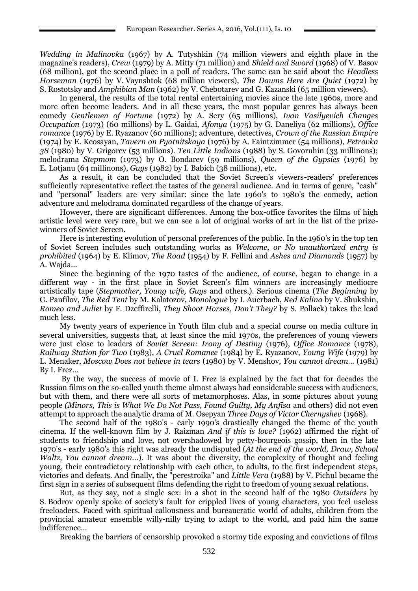*Wedding in Malinovka* (1967) by A. Tutyshkin (74 million viewers and eighth place in the magazine's readers), *Crew* (1979) by A. Mitty (71 million) and *Shield and Sword* (1968) of V. Basov (68 million), got the second place in a poll of readers. The same can be said about the *Headless Horseman* (1976) by V. Vaynshtok (68 million viewers), *The Dawns Here Are Quiet* (1972) by S. Rostotsky and *Amphibian Man* (1962) by V. Chebotarev and G. Kazanski (65 million viewers).

In general, the results of the total rental entertaining movies since the late 1960s, more and more often become leaders. And in all these years, the most popular genres has always been comedy *Gentlemen of Fortune* (1972) by A. Sery (65 millions), *Ivan Vasilyevich Changes Occupation* (1973) (60 millions) by L. Gaidai, *Afonya* (1975) by G. Daneliya (62 millions), *Office romance* (1976) by E. Ryazanov (60 millions); adventure, detectives, *Crown of the Russian Empire* (1974) by E. Keosayan, *Tavern on Pyatnitskaya* (1976) by A. Faintzimmer (54 millions), *Petrovka 38* (1980) by V. Grigorev (53 millions). *Ten Little Indians* (1988) by S. Govoruhin (33 millinons); melodrama *Stepmom* (1973) by O. Bondarev (59 millions), *Queen of the Gypsies* (1976) by E. Lotjanu (64 millinons), *Guys* (1982) by I. Babich (38 millions), etc.

As a result, it can be concluded that the Soviet Screen's viewers-readers' preferences sufficiently representative reflect the tastes of the general audience. And in terms of genre, "cash" and "personal" leaders are very similar: since the late 1960's to 1980's the comedy, action adventure and melodrama dominated regardless of the change of years.

However, there are significant differences. Among the box-office favorites the films of high artistic level were very rare, but we can see a lot of original works of art in the list of the prizewinners of Soviet Screen.

Here is interesting evolution of personal preferences of the public. In the 1960's in the top ten of Soviet Screen includes such outstanding works as *Welcome, or No unauthorized entry is prohibited* (1964) by E. Klimov, *The Road* (1954) by F. Fellini and *Ashes and Diamonds* (1957) by A. Wajda...

Since the beginning of the 1970 tastes of the audience, of course, began to change in a different way - in the first place in Soviet Screen's film winners are increasingly mediocre artistically tape (*Stepmother, Young wife, Guys* and others.). Serious cinema (*The Beginning* by G. Panfilov, *The Red Tent* by M. Kalatozov, *Monologue* by I. Auerbach, *Red Kalina* by V. Shukshin, *Romeo and Juliet* by F. Dzeffirelli, *[They Shoot Horses, Don't They?](http://www.kino-teatr.ru/kino/movie/hollywood/30629/annot/)* by S. Pollack) takes the lead much less.

My twenty years of experience in Youth film club and a special course on media culture in several universities, suggests that, at least since the mid 1970s, the preferences of young viewers were just close to leaders of *Soviet Screen: Irony of Destiny* (1976), *Office Romance* (1978), *Railway Station for Two* (1983), *A Cruel Romance* (1984) by E. Ryazanov, *Young Wife* (1979) by L. Menaker, *Moscow Does not believe in tears* (1980) by V. Menshov, *You cannot dream...* (1981) By I. Frez...

By the way, the success of movie of I. Frez is explained by the fact that for decades the Russian films on the so-called youth theme almost always had considerable success with audiences, but with them, and there were all sorts of metamorphoses. Alas, in some pictures about young people *(Minors, This is What We Do Not Pass, Found Guilty, My Anfisa* and others) did not even attempt to approach the analytic drama of M. Osepyan *Three Days of Victor Chernyshev* (1968).

The second half of the 1980's - early 1990's drastically changed the theme of the youth cinema. If the well-known film by J. Raizman *And if this is love?* (1962) affirmed the right of students to friendship and love, not overshadowed by petty-bourgeois gossip, then in the late 1970's - early 1980's this right was already the undisputed (*At the end of the world, Draw, School Waltz, You cannot dream...*). It was about the diversity, the complexity of thought and feeling young, their contradictory relationship with each other, to adults, to the first independent steps, victories and defeats. And finally, the "perestroika" and *Little Vera* (1988) by V. Pichul became the first sign in a series of subsequent films defending the right to freedom of young sexual relations.

But, as they say, not a single sex: in a shot in the second half of the 1980 *Outsiders* by S. Bodrov openly spoke of society's fault for crippled lives of young characters, you feel useless freeloaders. Faced with spiritual callousness and bureaucratic world of adults, children from the provincial amateur ensemble willy-nilly trying to adapt to the world, and paid him the same indifference...

Breaking the barriers of censorship provoked a stormy tide exposing and convictions of films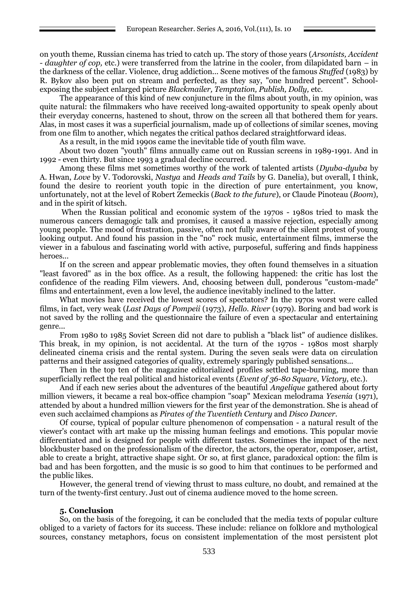on youth theme, Russian cinema has tried to catch up. The story of those years (*Arsonists, Accident - daughter of cop,* etc.) were transferred from the latrine in the cooler, from dilapidated barn – in the darkness of the cellar. Violence, drug addiction... Scene motives of the famous *Stuffed* (1983) by R. Bykov also been put on stream and perfected, as they say, "one hundred percent". Schoolexposing the subject enlarged picture *Blackmailer, Temptation, Publish, Dolly,* etc.

The appearance of this kind of new conjuncture in the films about youth, in my opinion, was quite natural: the filmmakers who have received long-awaited opportunity to speak openly about their everyday concerns, hastened to shout, throw on the screen all that bothered them for years. Alas, in most cases it was a superficial journalism, made up of collections of similar scenes, moving from one film to another, which negates the critical pathos declared straightforward ideas.

As a result, in the mid 1990s came the inevitable tide of youth film wave.

About two dozen "youth" films annually came out on Russian screens in 1989-1991. And in 1992 - even thirty. But since 1993 a gradual decline occurred.

Among these films met sometimes worthy of the work of talented artists (*Dyuba-dyuba* by A. Hwan, *Love* by V. Todorovski, *Nastya* and *Heads and Tails* by G. Danelia), but overall, I think, found the desire to reorient youth topic in the direction of pure entertainment, you know, unfortunately, not at the level of Robert Zemeckis (*Back to the future*), or Claude Pinoteau (*Boom*), and in the spirit of kitsch.

When the Russian political and economic system of the 1970s - 1980s tried to mask the numerous cancers demagogic talk and promises, it caused a massive rejection, especially among young people. The mood of frustration, passive, often not fully aware of the silent protest of young looking output. And found his passion in the "no" rock music, entertainment films, immerse the viewer in a fabulous and fascinating world with active, purposeful, suffering and finds happiness heroes...

If on the screen and appear problematic movies, they often found themselves in a situation "least favored" as in the box office. As a result, the following happened: the critic has lost the confidence of the reading Film viewers. And, choosing between dull, ponderous "custom-made" films and entertainment, even a low level, the audience inevitably inclined to the latter.

What movies have received the lowest scores of spectators? In the 1970s worst were called films, in fact, very weak (*Last Days of Pompeii* (1973), *Hello. River* (1979). Boring and bad work is not saved by the rolling and the questionnaire the failure of even a spectacular and entertaining genre...

From 1980 to 1985 Soviet Screen did not dare to publish a "black list" of audience dislikes. This break, in my opinion, is not accidental. At the turn of the 1970s - 1980s most sharply delineated cinema crisis and the rental system. During the seven seals were data on circulation patterns and their assigned categories of quality, extremely sparingly published sensations...

Then in the top ten of the magazine editorialized profiles settled tape-burning, more than superficially reflect the real political and historical events (*Event of 36-80 Square, Victory*, etc.).

And if each new series about the adventures of the beautiful *Angelique* gathered about forty million viewers, it became a real box-office champion "soap" Mexican melodrama *Yesenia* (1971), attended by about a hundred million viewers for the first year of the demonstration. She is ahead of even such acclaimed champions as *Pirates of the Twentieth Century* and *Disco Dancer.*

Of course, typical of popular culture phenomenon of compensation - a natural result of the viewer's contact with art make up the missing human feelings and emotions. This popular movie differentiated and is designed for people with different tastes. Sometimes the impact of the next blockbuster based on the professionalism of the director, the actors, the operator, composer, artist, able to create a bright, attractive shape sight. Or so, at first glance, paradoxical option: the film is bad and has been forgotten, and the music is so good to him that continues to be performed and the public likes.

However, the general trend of viewing thrust to mass culture, no doubt, and remained at the turn of the twenty-first century. Just out of cinema audience moved to the home screen.

### **5. Conclusion**

So, on the basis of the foregoing, it can be concluded that the media texts of popular culture obliged to a variety of factors for its success. These include: reliance on folklore and mythological sources, constancy metaphors, focus on consistent implementation of the most persistent plot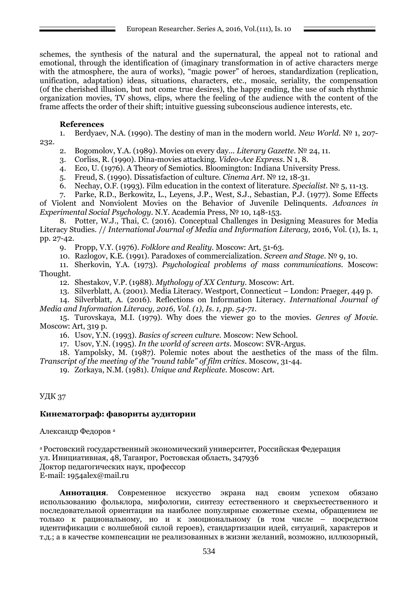schemes, the synthesis of the natural and the supernatural, the appeal not to rational and emotional, through the identification of (imaginary transformation in of active characters merge with the atmosphere, the aura of works), "magic power" of heroes, standardization (replication, unification, adaptation) ideas, situations, characters, etc., mosaic, seriality, the compensation (of the cherished illusion, but not come true desires), the happy ending, the use of such rhythmic organization movies, TV shows, clips, where the feeling of the audience with the content of the frame affects the order of their shift; intuitive guessing subconscious audience interests, etc.

# **References**

1. Berdyaev, N.A. (1990). The destiny of man in the modern world. *New World.* № 1, 207- 232.

- 2. Bogomolov, Y.A. (1989). Movies on every day... *Literary Gazette.* № 24, 11.
- 3. Corliss, R. (1990). Dina-movies attacking. *Video-Ace Express.* N 1, 8.
- 4. Eco, U. (1976). A Theory of Semiotics. Bloomington: Indiana University Press.
- 5. Freud, S. (1990). Dissatisfaction of culture. *Cinema Art.* № 12, 18-31.
- 6. Nechay, O.F. (1993). Film education in the context of literature. *Specialist.* № 5, 11-13.
- 7. Parke, R.D., Berkowitz, L., Leyens, J.P., West, S.J., Sebastian, P.J. (1977). Some Effects

of Violent and Nonviolent Movies on the Behavior of Juvenile Delinquents. *Advances in Experimental Social Psychology*. N.Y. Academia Press, № 10, 148-153.

8. Potter, W.J., Thai, C. (2016). Conceptual Challenges in Designing Measures for Media Literacy Studies. // *International Journal of Media and Information Literacy,* 2016, Vol. (1), Is. 1, pp. 27-42.

9. Propp, V.Y. (1976). *Folklore and Reality.* Moscow: Art, 51-63.

10. Razlogov, K.E. (1991). Paradoxes of commercialization. *Screen and Stage.* № 9, 10.

11. Sherkovin, Y.A. (1973). *Psychological problems of mass communications.* Moscow: Thought.

12. Shestakov, V.P. (1988). *Mythology of XX Century.* Moscow: Art.

13. Silverblatt, A. (2001). Media Literacy. Westport, Connecticut – London: Praeger, 449 p.

14. Silverblatt, A. (2016). Reflections on Information Literacy. *International Journal of Media and Information Literacy, 2016, Vol. (1), Is. 1, pp. 54-71.*

15. Turovskaya, M.I. (1979). Why does the viewer go to the movies. *Genres of Movie.* Moscow: Art, 319 p.

16. Usov, Y.N. (1993). *Basics of screen culture.* Moscow: New School.

17. Usov, Y.N. (1995). *In the world of screen arts*. Moscow: SVR-Argus.

18. Yampolsky, M. (1987). Polemic notes about the aesthetics of the mass of the film*. Transcript of the meeting of the "round table" of film critics*. Moscow, 31-44.

19. Zorkaya, N.M. (1981). *Unique and Replicate.* Moscow: Art.

УДК 37

# **Кинематограф: фавориты аудитории**

Aлександр Федоров <sup>а</sup>

<sup>а</sup>Ростовский государственный экономический университет, Российская Федерация ул. Инициативная, 48, Таганрог, Ростовская область, 347936 Доктор педагогических наук, профессор E-mail: 1954alex@mail.ru

**Аннотация**. Cовременное искусство экрана над своим успехом обязано использованию фольклора, мифологии, синтезу естественного и сверхъестественного и последовательной ориентации на наиболее популярные сюжетные схемы, обращением не только к рациональному, но и к эмоциональному (в том числе – посредством идентификации с волшебной силой героев), стандартизации идей, ситуаций, характеров и т.д.; а в качестве компенсации не реализованных в жизни желаний, возможно, иллюзорный,